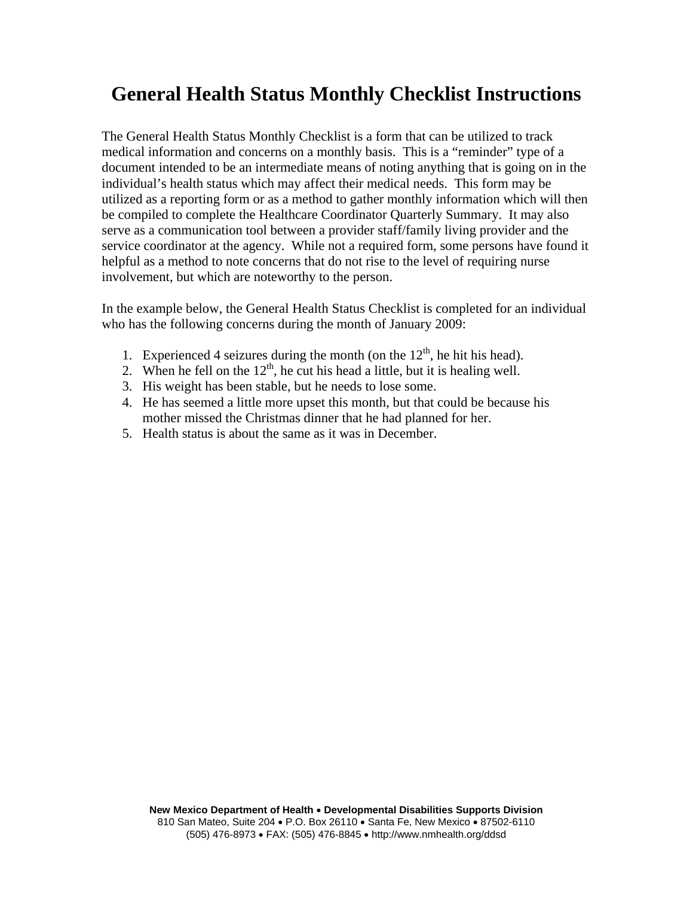## **General Health Status Monthly Checklist Instructions**

The General Health Status Monthly Checklist is a form that can be utilized to track medical information and concerns on a monthly basis. This is a "reminder" type of a document intended to be an intermediate means of noting anything that is going on in the individual's health status which may affect their medical needs. This form may be utilized as a reporting form or as a method to gather monthly information which will then be compiled to complete the Healthcare Coordinator Quarterly Summary. It may also serve as a communication tool between a provider staff/family living provider and the service coordinator at the agency. While not a required form, some persons have found it helpful as a method to note concerns that do not rise to the level of requiring nurse involvement, but which are noteworthy to the person.

In the example below, the General Health Status Checklist is completed for an individual who has the following concerns during the month of January 2009:

- 1. Experienced 4 seizures during the month (on the  $12<sup>th</sup>$ , he hit his head).
- 2. When he fell on the  $12<sup>th</sup>$ , he cut his head a little, but it is healing well.
- 3. His weight has been stable, but he needs to lose some.
- 4. He has seemed a little more upset this month, but that could be because his mother missed the Christmas dinner that he had planned for her.
- 5. Health status is about the same as it was in December.